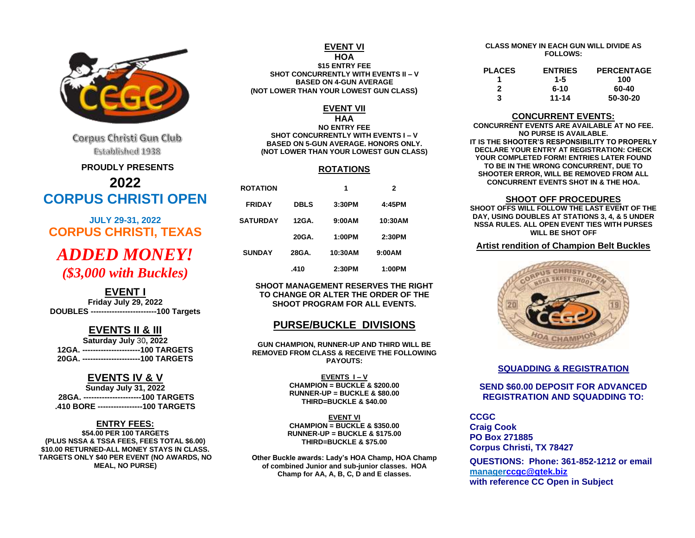

Corpus Christi Gun Club Established 1938

#### **PROUDLY PRESENTS**

**2022 CORPUS CHRISTI OPEN**

**JULY 29-31, 2022 CORPUS CHRISTI, TEXAS** *ADDED MONEY! (\$3,000 with Buckles)*

## **EVENT I**

**Friday July 29, 2022 DOUBLES -------------------------100 Targets**

### **EVENTS II & III**

**Saturday July** 30**, 2022 12GA. ----------------------100 TARGETS 20GA. ----------------------100 TARGETS**

### **EVENTS IV & V**

**Sunday July 31, 2022 28GA. ----------------------100 TARGETS .410 BORE -----------------100 TARGETS**

#### **ENTRY FEES:**

**\$54.00 PER 100 TARGETS (PLUS NSSA & TSSA FEES, FEES TOTAL \$6.00) \$10.00 RETURNED-ALL MONEY STAYS IN CLASS. TARGETS ONLY \$40 PER EVENT (NO AWARDS, NO MEAL, NO PURSE)**

#### **EVENT VI HOA**

**\$15 ENTRY FEE SHOT CONCURRENTLY WITH EVENTS II – V BASED ON 4-GUN AVERAGE (NOT LOWER THAN YOUR LOWEST GUN CLASS)**

#### **EVENT VII**

**HAA**

**NO ENTRY FEE SHOT CONCURRENTLY WITH EVENTS I – V BASED ON 5-GUN AVERAGE. HONORS ONLY. (NOT LOWER THAN YOUR LOWEST GUN CLASS)**

#### **ROTATIONS**

| <b>ROTATION</b> |             | 1       | 2       |  |
|-----------------|-------------|---------|---------|--|
| <b>FRIDAY</b>   | <b>DBLS</b> | 3:30PM  | 4:45PM  |  |
| <b>SATURDAY</b> | 12GA.       | 9:00AM  | 10:30AM |  |
|                 | 20GA.       | 1:00PM  | 2:30PM  |  |
| <b>SUNDAY</b>   | 28GA.       | 10:30AM | 9:00AM  |  |
|                 | .410        | 2:30PM  | 1:00PM  |  |

**SHOOT MANAGEMENT RESERVES THE RIGHT TO CHANGE OR ALTER THE ORDER OF THE SHOOT PROGRAM FOR ALL EVENTS.**

## **PURSE/BUCKLE DIVISIONS**

**GUN CHAMPION, RUNNER-UP AND THIRD WILL BE REMOVED FROM CLASS & RECEIVE THE FOLLOWING PAYOUTS:**

> **EVENTS I – V CHAMPION = BUCKLE & \$200.00 RUNNER-UP = BUCKLE & \$80.00 THIRD=BUCKLE & \$40.00**

**EVENT VI CHAMPION = BUCKLE & \$350.00 RUNNER-UP = BUCKLE & \$175.00 THIRD=BUCKLE & \$75.00**

**Other Buckle awards: Lady's HOA Champ, HOA Champ of combined Junior and sub-junior classes. HOA Champ for AA, A, B, C, D and E classes.**

#### **CLASS MONEY IN EACH GUN WILL DIVIDE AS FOLLOWS:**

| <b>PLACES</b> | <b>ENTRIES</b> | <b>PERCENTAGE</b> |
|---------------|----------------|-------------------|
|               | 1-5            | 100               |
| 2             | 6-10           | 60-40             |
| 3             | $11 - 14$      | 50-30-20          |

#### **CONCURRENT EVENTS:**

**CONCURRENT EVENTS ARE AVAILABLE AT NO FEE. NO PURSE IS AVAILABLE. IT IS THE SHOOTER'S RESPONSIBILITY TO PROPERLY DECLARE YOUR ENTRY AT REGISTRATION: CHECK YOUR COMPLETED FORM! ENTRIES LATER FOUND TO BE IN THE WRONG CONCURRENT, DUE TO SHOOTER ERROR, WILL BE REMOVED FROM ALL CONCURRENT EVENTS SHOT IN & THE HOA.**

#### **SHOOT OFF PROCEDURES**

**SHOOT OFFS WILL FOLLOW THE LAST EVENT OF THE DAY, USING DOUBLES AT STATIONS 3, 4, & 5 UNDER NSSA RULES. ALL OPEN EVENT TIES WITH PURSES WILL BE SHOT OFF**

### **Artist rendition of Champion Belt Buckles**



#### **SQUADDING & REGISTRATION**

### **SEND \$60.00 DEPOSIT FOR ADVANCED REGISTRATION AND SQUADDING TO:**

**CCGC Craig Cook PO Box 271885 Corpus Christi, TX 78427**

**QUESTIONS: Phone: 361-852-1212 or email manage[rccgc@gtek.biz](mailto:ccgc@gtek.biz) with reference CC Open in Subject**